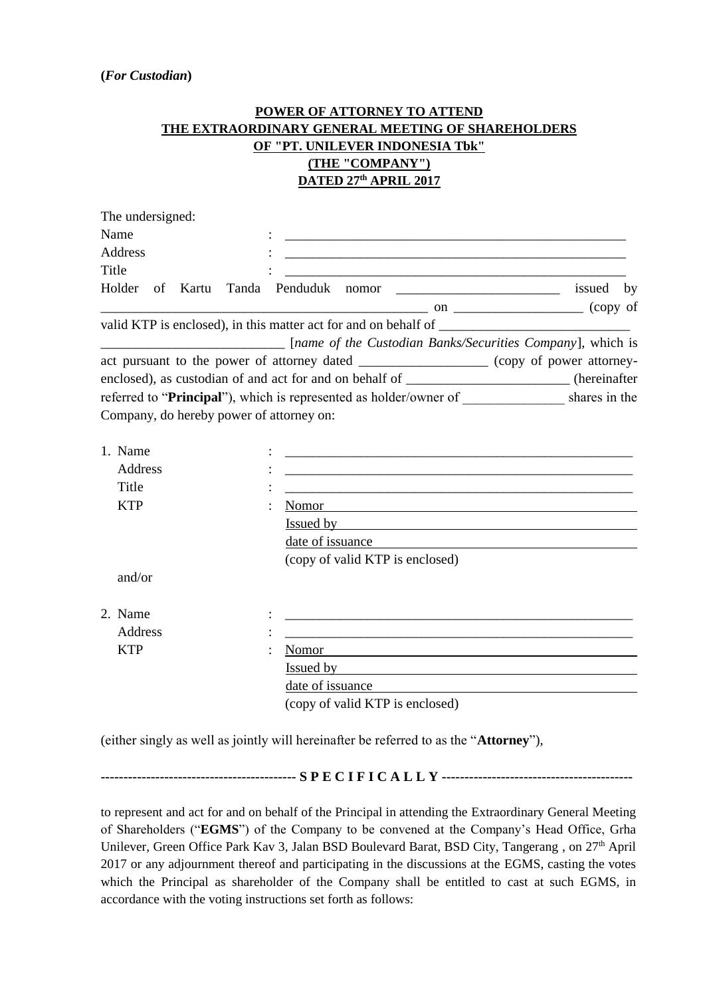## **POWER OF ATTORNEY TO ATTEND THE EXTRAORDINARY GENERAL MEETING OF SHAREHOLDERS OF "PT. UNILEVER INDONESIA Tbk" (THE "COMPANY") DATED 27th APRIL 2017**

| The undersigned:                         |                                                                                                                                                                                                                               |                                                                                                                       |  |
|------------------------------------------|-------------------------------------------------------------------------------------------------------------------------------------------------------------------------------------------------------------------------------|-----------------------------------------------------------------------------------------------------------------------|--|
| Name                                     |                                                                                                                                                                                                                               |                                                                                                                       |  |
| Address                                  |                                                                                                                                                                                                                               |                                                                                                                       |  |
| Title                                    |                                                                                                                                                                                                                               |                                                                                                                       |  |
|                                          | Holder of Kartu Tanda Penduduk nomor __________________________ issued by                                                                                                                                                     |                                                                                                                       |  |
|                                          | $\sim$ on $\sim$ (copy of                                                                                                                                                                                                     |                                                                                                                       |  |
|                                          | valid KTP is enclosed), in this matter act for and on behalf of                                                                                                                                                               |                                                                                                                       |  |
|                                          | [name of the Custodian Banks/Securities Company], which is                                                                                                                                                                    |                                                                                                                       |  |
|                                          | act pursuant to the power of attorney dated _________________ (copy of power attorney-                                                                                                                                        |                                                                                                                       |  |
|                                          | enclosed), as custodian of and act for and on behalf of _____________________(hereinafter                                                                                                                                     |                                                                                                                       |  |
|                                          | referred to "Principal"), which is represented as holder/owner of _____________ shares in the                                                                                                                                 |                                                                                                                       |  |
| Company, do hereby power of attorney on: |                                                                                                                                                                                                                               |                                                                                                                       |  |
|                                          |                                                                                                                                                                                                                               |                                                                                                                       |  |
| 1. Name                                  |                                                                                                                                                                                                                               |                                                                                                                       |  |
| Address                                  |                                                                                                                                                                                                                               |                                                                                                                       |  |
| Title                                    |                                                                                                                                                                                                                               |                                                                                                                       |  |
| <b>KTP</b>                               | Nomor                                                                                                                                                                                                                         |                                                                                                                       |  |
|                                          | <u>Issued by</u>                                                                                                                                                                                                              |                                                                                                                       |  |
|                                          |                                                                                                                                                                                                                               |                                                                                                                       |  |
|                                          | (copy of valid KTP is enclosed)                                                                                                                                                                                               |                                                                                                                       |  |
| and/or                                   |                                                                                                                                                                                                                               |                                                                                                                       |  |
|                                          |                                                                                                                                                                                                                               |                                                                                                                       |  |
| 2. Name                                  |                                                                                                                                                                                                                               |                                                                                                                       |  |
| <b>Address</b>                           |                                                                                                                                                                                                                               | <u> 1989 - Johann Harry Harry Harry Harry Harry Harry Harry Harry Harry Harry Harry Harry Harry Harry Harry Harry</u> |  |
| <b>KTP</b>                               | Nomor                                                                                                                                                                                                                         |                                                                                                                       |  |
|                                          | Issued by the contract of the contract of the contract of the contract of the contract of the contract of the contract of the contract of the contract of the contract of the contract of the contract of the contract of the |                                                                                                                       |  |
|                                          | date of issuance                                                                                                                                                                                                              |                                                                                                                       |  |
|                                          | (copy of valid KTP is enclosed)                                                                                                                                                                                               |                                                                                                                       |  |

(either singly as well as jointly will hereinafter be referred to as the "**Attorney**"),

**------------------------------------------- S P E C I F I C A L L Y ------------------------------------------**

to represent and act for and on behalf of the Principal in attending the Extraordinary General Meeting of Shareholders ("**EGMS**") of the Company to be convened at the Company's Head Office, Grha Unilever, Green Office Park Kav 3, Jalan BSD Boulevard Barat, BSD City, Tangerang, on 27<sup>th</sup> April 2017 or any adjournment thereof and participating in the discussions at the EGMS, casting the votes which the Principal as shareholder of the Company shall be entitled to cast at such EGMS, in accordance with the voting instructions set forth as follows: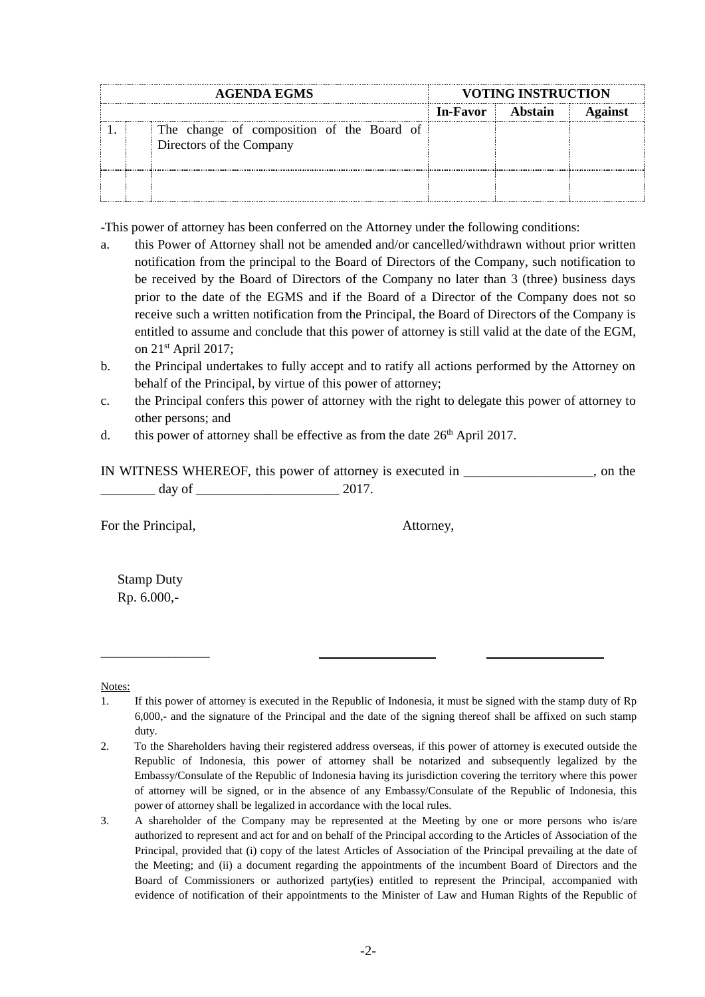| <b>AGENDA EGMS</b> |  |                                                                       | <b>VOTING INSTRUCTION</b> |         |  |
|--------------------|--|-----------------------------------------------------------------------|---------------------------|---------|--|
|                    |  |                                                                       | <b>In-Favor</b>           | Abstain |  |
|                    |  | The change of composition of the Board of<br>Directors of the Company |                           |         |  |
|                    |  |                                                                       |                           |         |  |

-This power of attorney has been conferred on the Attorney under the following conditions:

- a. this Power of Attorney shall not be amended and/or cancelled/withdrawn without prior written notification from the principal to the Board of Directors of the Company, such notification to be received by the Board of Directors of the Company no later than 3 (three) business days prior to the date of the EGMS and if the Board of a Director of the Company does not so receive such a written notification from the Principal, the Board of Directors of the Company is entitled to assume and conclude that this power of attorney is still valid at the date of the EGM, on  $21<sup>st</sup>$  April 2017;
- b. the Principal undertakes to fully accept and to ratify all actions performed by the Attorney on behalf of the Principal, by virtue of this power of attorney;
- c. the Principal confers this power of attorney with the right to delegate this power of attorney to other persons; and
- d. this power of attorney shall be effective as from the date  $26<sup>th</sup>$  April 2017.

|        | IN WITNESS WHEREOF, this power of attorney is executed in | on the |
|--------|-----------------------------------------------------------|--------|
| dav of |                                                           |        |

For the Principal,  $\blacksquare$ 

Stamp Duty Rp. 6.000,-

\_\_\_\_\_\_\_\_\_\_\_\_\_\_\_\_

Notes:

<sup>1.</sup> If this power of attorney is executed in the Republic of Indonesia, it must be signed with the stamp duty of Rp 6,000,- and the signature of the Principal and the date of the signing thereof shall be affixed on such stamp duty.

<sup>2.</sup> To the Shareholders having their registered address overseas, if this power of attorney is executed outside the Republic of Indonesia, this power of attorney shall be notarized and subsequently legalized by the Embassy/Consulate of the Republic of Indonesia having its jurisdiction covering the territory where this power of attorney will be signed, or in the absence of any Embassy/Consulate of the Republic of Indonesia, this power of attorney shall be legalized in accordance with the local rules.

<sup>3.</sup> A shareholder of the Company may be represented at the Meeting by one or more persons who is/are authorized to represent and act for and on behalf of the Principal according to the Articles of Association of the Principal, provided that (i) copy of the latest Articles of Association of the Principal prevailing at the date of the Meeting; and (ii) a document regarding the appointments of the incumbent Board of Directors and the Board of Commissioners or authorized party(ies) entitled to represent the Principal, accompanied with evidence of notification of their appointments to the Minister of Law and Human Rights of the Republic of